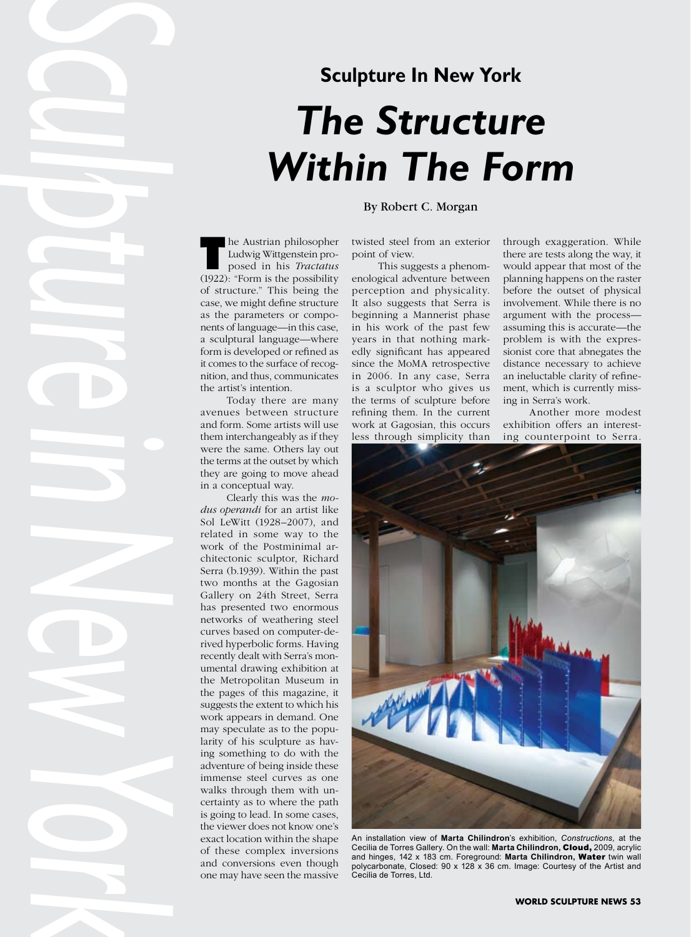## **Sculpture In New York** *The Structure Within The Form*

Ludwig Wittgenstein proposed in his *Tractatus* (1922): "Form is the possibility of structure." This being the case, we might define structure as the parameters or components of language—in this case, a sculptural language—where form is developed or refined as it comes to the surface of recognition, and thus, communicates the artist's intention.

Today there are many avenues between structure and form. Some artists will use them interchangeably as if they were the same. Others lay out the terms at the outset by which they are going to move ahead in a conceptual way.

**Sculpture in the state of the state of the state of the state of the state of the state of the state of the state of the state of the state of the state of the state of the state of the state of the state of the state of** Clearly this was the *modus operandi* for an artist like Sol LeWitt (1928–2007), and related in some way to the work of the Postminimal architectonic sculptor, Richard Serra (b.1939). Within the past two months at the Gagosian Gallery on 24th Street, Serra has presented two enormous networks of weathering steel curves based on computer-derived hyperbolic forms. Having recently dealt with Serra's monumental drawing exhibition at the Metropolitan Museum in the pages of this magazine, it suggests the extent to which his work appears in demand. One may speculate as to the popularity of his sculpture as having something to do with the adventure of being inside these immense steel curves as one walks through them with uncertainty as to where the path is going to lead. In some cases, the viewer does not know one's exact location within the shape of these complex inversions and conversions even though one may have seen the massive

## By Robert C. Morgan

twisted steel from an exterior point of view.

This suggests a phenomenological adventure between perception and physicality. It also suggests that Serra is beginning a Mannerist phase in his work of the past few years in that nothing markedly significant has appeared since the MoMA retrospective in 2006. In any case, Serra is a sculptor who gives us the terms of sculpture before refining them. In the current work at Gagosian, this occurs less through simplicity than through exaggeration. While there are tests along the way, it would appear that most of the planning happens on the raster before the outset of physical involvement. While there is no argument with the process assuming this is accurate—the problem is with the expressionist core that abnegates the distance necessary to achieve an ineluctable clarity of refinement, which is currently missing in Serra's work.

Another more modest exhibition offers an interesting counterpoint to Serra.



An installation view of **Marta Chilindron**'s exhibition, *Constructions,* at the Cecilia de Torres Gallery. On the wall: **Marta Chilindron,** Cloud, 2009, acrylic and hinges, 142 x 183 cm. Foreground: **Marta Chilindron,** Water twin wall polycarbonate, Closed: 90 x 128 x 36 cm. Image: Courtesy of the Artist and Cecilia de Torres, Ltd.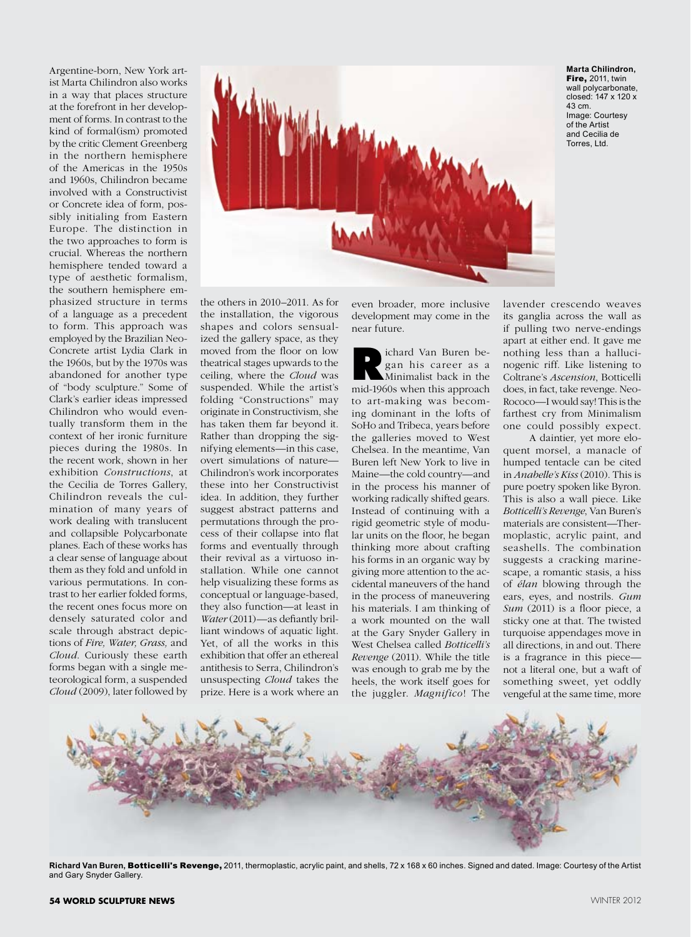Argentine-born, New York artist Marta Chilindron also works in a way that places structure at the forefront in her development of forms. In contrast to the kind of formal(ism) promoted by the critic Clement Greenberg in the northern hemisphere of the Americas in the 1950s and 1960s, Chilindron became involved with a Constructivist or Concrete idea of form, possibly initialing from Eastern Europe. The distinction in the two approaches to form is crucial. Whereas the northern hemisphere tended toward a type of aesthetic formalism, the southern hemisphere emphasized structure in terms of a language as a precedent to form. This approach was employed by the Brazilian Neo-Concrete artist Lydia Clark in the 1960s, but by the 1970s was abandoned for another type of "body sculpture." Some of Clark's earlier ideas impressed Chilindron who would eventually transform them in the context of her ironic furniture pieces during the 1980s. In the recent work, shown in her exhibition *Constructions*, at the Cecilia de Torres Gallery, Chilindron reveals the culmination of many years of work dealing with translucent and collapsible Polycarbonate planes. Each of these works has a clear sense of language about them as they fold and unfold in various permutations. In contrast to her earlier folded forms, the recent ones focus more on densely saturated color and scale through abstract depictions of *Fire, Water, Grass,* and *Cloud*. Curiously these earth forms began with a single meteorological form, a suspended *Cloud* (2009), later followed by



**Marta Chilindron, Fire, 2011, twin** wall polycarbonate, closed: 147 x 120 x 43 cm. Image: Courtesy of the Artist and Cecilia de Torres, Ltd.

the others in 2010–2011. As for the installation, the vigorous shapes and colors sensualized the gallery space, as they moved from the floor on low theatrical stages upwards to the ceiling, where the *Cloud* was suspended. While the artist's folding "Constructions" may originate in Constructivism, she has taken them far beyond it. Rather than dropping the signifying elements—in this case, overt simulations of nature— Chilindron's work incorporates these into her Constructivist idea. In addition, they further suggest abstract patterns and permutations through the process of their collapse into flat forms and eventually through their revival as a virtuoso installation. While one cannot help visualizing these forms as conceptual or language-based, they also function—at least in *Water* (2011)—as defiantly brilliant windows of aquatic light. Yet, of all the works in this exhibition that offer an ethereal antithesis to Serra, Chilindron's unsuspecting *Cloud* takes the prize. Here is a work where an

even broader, more inclusive development may come in the near future.

**R**ichard Van Buren began his career as a Minimalist back in the mid-1960s when this approach to art-making was becoming dominant in the lofts of SoHo and Tribeca, years before the galleries moved to West Chelsea. In the meantime, Van Buren left New York to live in Maine—the cold country—and in the process his manner of working radically shifted gears. Instead of continuing with a rigid geometric style of modular units on the floor, he began thinking more about crafting his forms in an organic way by giving more attention to the accidental maneuvers of the hand in the process of maneuvering his materials. I am thinking of a work mounted on the wall at the Gary Snyder Gallery in West Chelsea called *Botticelli's Revenge* (2011). While the title was enough to grab me by the heels, the work itself goes for the juggler. *Magnifico*! The

lavender crescendo weaves its ganglia across the wall as if pulling two nerve-endings apart at either end. It gave me nothing less than a hallucinogenic riff. Like listening to Coltrane's *Ascension*, Botticelli does, in fact, take revenge. Neo-Rococo—I would say! This is the farthest cry from Minimalism one could possibly expect.

A daintier, yet more eloquent morsel, a manacle of humped tentacle can be cited in *Anabelle's Kiss* (2010). This is pure poetry spoken like Byron. This is also a wall piece. Like *Botticelli's Revenge*, Van Buren's materials are consistent—Thermoplastic, acrylic paint, and seashells. The combination suggests a cracking marinescape, a romantic stasis, a hiss of *élan* blowing through the ears, eyes, and nostrils. *Gum Sum* (2011) is a floor piece, a sticky one at that. The twisted turquoise appendages move in all directions, in and out. There is a fragrance in this piece not a literal one, but a waft of something sweet, yet oddly vengeful at the same time, more



Richard Van Buren, Botticelli's Revenge, 2011, thermoplastic, acrylic paint, and shells, 72 x 168 x 60 inches. Signed and dated. Image: Courtesy of the Artist and Gary Snyder Gallery.